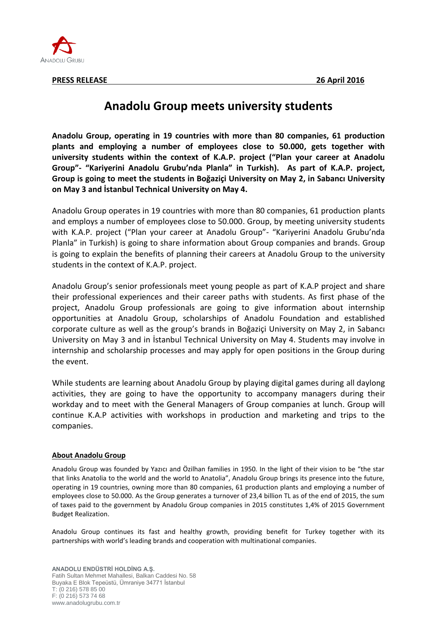

## **Anadolu Group meets university students**

**Anadolu Group, operating in 19 countries with more than 80 companies, 61 production plants and employing a number of employees close to 50.000, gets together with university students within the context of K.A.P. project ("Plan your career at Anadolu Group"- "Kariyerini Anadolu Grubu'nda Planla" in Turkish). As part of K.A.P. project, Group is going to meet the students in Boğaziçi University on May 2, in Sabancı University on May 3 and İstanbul Technical University on May 4.** 

Anadolu Group operates in 19 countries with more than 80 companies, 61 production plants and employs a number of employees close to 50.000. Group, by meeting university students with K.A.P. project ("Plan your career at Anadolu Group"- "Kariyerini Anadolu Grubu'nda Planla" in Turkish) is going to share information about Group companies and brands. Group is going to explain the benefits of planning their careers at Anadolu Group to the university students in the context of K.A.P. project.

Anadolu Group's senior professionals meet young people as part of K.A.P project and share their professional experiences and their career paths with students. As first phase of the project, Anadolu Group professionals are going to give information about internship opportunities at Anadolu Group, scholarships of Anadolu Foundation and established corporate culture as well as the group's brands in Boğaziçi University on May 2, in Sabancı University on May 3 and in İstanbul Technical University on May 4. Students may involve in internship and scholarship processes and may apply for open positions in the Group during the event.

While students are learning about Anadolu Group by playing digital games during all daylong activities, they are going to have the opportunity to accompany managers during their workday and to meet with the General Managers of Group companies at lunch. Group will continue K.A.P activities with workshops in production and marketing and trips to the companies.

## **About Anadolu Group**

Anadolu Group was founded by Yazıcı and Özilhan families in 1950. In the light of their vision to be "the star that links Anatolia to the world and the world to Anatolia", Anadolu Group brings its presence into the future, operating in 19 countries, owning more than 80 companies, 61 production plants and employing a number of employees close to 50.000. As the Group generates a turnover of 23,4 billion TL as of the end of 2015, the sum of taxes paid to the government by Anadolu Group companies in 2015 constitutes 1,4% of 2015 Government Budget Realization.

Anadolu Group continues its fast and healthy growth, providing benefit for Turkey together with its partnerships with world's leading brands and cooperation with multinational companies.

**ANADOLU ENDÜSTRİ HOLDİNG A.Ş.** Fatih Sultan Mehmet Mahallesi, Balkan Caddesi No. 58 Buyaka E Blok Tepeüstü, Ümraniye 34771 İstanbul T: (0 216) 578 85 00 F: (0 216) 573 74 68 www.anadolugrubu.com.tr